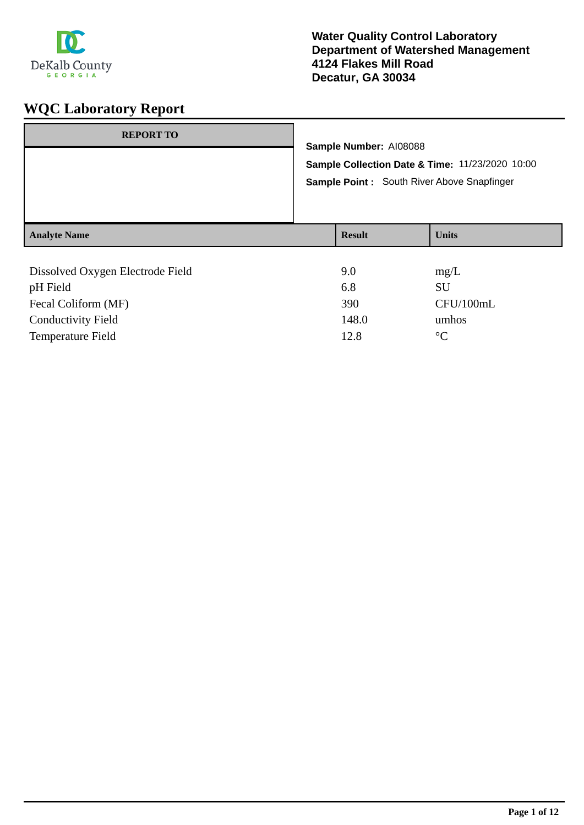

| <b>REPORT TO</b>                 | Sample Number: AI08088<br>Sample Collection Date & Time: 11/23/2020 10:00<br>Sample Point: South River Above Snapfinger |               |              |
|----------------------------------|-------------------------------------------------------------------------------------------------------------------------|---------------|--------------|
| <b>Analyte Name</b>              |                                                                                                                         | <b>Result</b> | <b>Units</b> |
|                                  |                                                                                                                         |               |              |
| Dissolved Oxygen Electrode Field |                                                                                                                         | 9.0           | mg/L         |
| pH Field                         |                                                                                                                         | 6.8           | <b>SU</b>    |
| Fecal Coliform (MF)              |                                                                                                                         | 390           | CFU/100mL    |

Conductivity Field 148.0 umhos Temperature Field 2.8 °C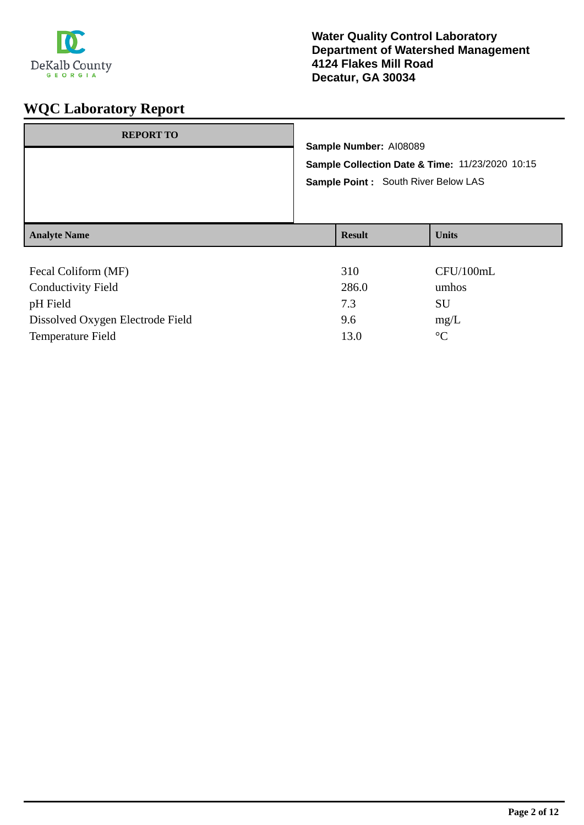

| <b>REPORT TO</b>                 | Sample Number: AI08089<br>Sample Collection Date & Time: 11/23/2020 10:15<br>Sample Point: South River Below LAS |               |                 |
|----------------------------------|------------------------------------------------------------------------------------------------------------------|---------------|-----------------|
| <b>Analyte Name</b>              |                                                                                                                  | <b>Result</b> | <b>Units</b>    |
|                                  |                                                                                                                  |               |                 |
| Fecal Coliform (MF)              |                                                                                                                  | 310           | CFU/100mL       |
| <b>Conductivity Field</b>        |                                                                                                                  | 286.0         | umhos           |
| pH Field                         |                                                                                                                  | 7.3           | SU              |
| Dissolved Oxygen Electrode Field |                                                                                                                  | 9.6           | mg/L            |
| <b>Temperature Field</b>         |                                                                                                                  | 13.0          | $\rm ^{\circ}C$ |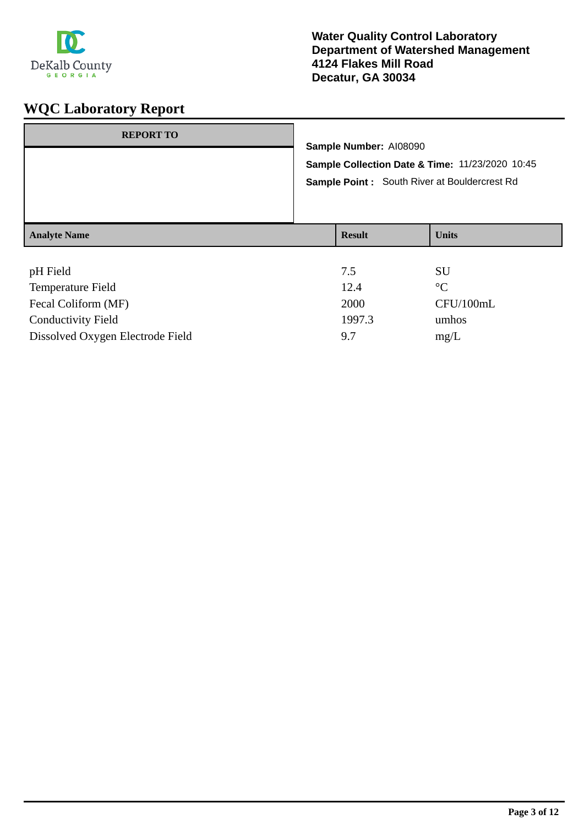

| <b>REPORT TO</b>              | Sample Number: AI08090<br>Sample Collection Date & Time: 11/23/2020 10:45<br>Sample Point: South River at Bouldercrest Rd |                      |  |
|-------------------------------|---------------------------------------------------------------------------------------------------------------------------|----------------------|--|
| <b>Analyte Name</b>           | <b>Result</b>                                                                                                             | <b>Units</b>         |  |
| pH Field<br>Tamperatura Field | 7.5<br>12A                                                                                                                | <b>SU</b><br>$\circ$ |  |

| <b>Temperature Field</b>         | 12.4   | $^{\circ}$ $\cap$ |
|----------------------------------|--------|-------------------|
| Fecal Coliform (MF)              | 2000   | CFU/100mL         |
| <b>Conductivity Field</b>        | 1997.3 | umhos             |
| Dissolved Oxygen Electrode Field | 97     | mg/L              |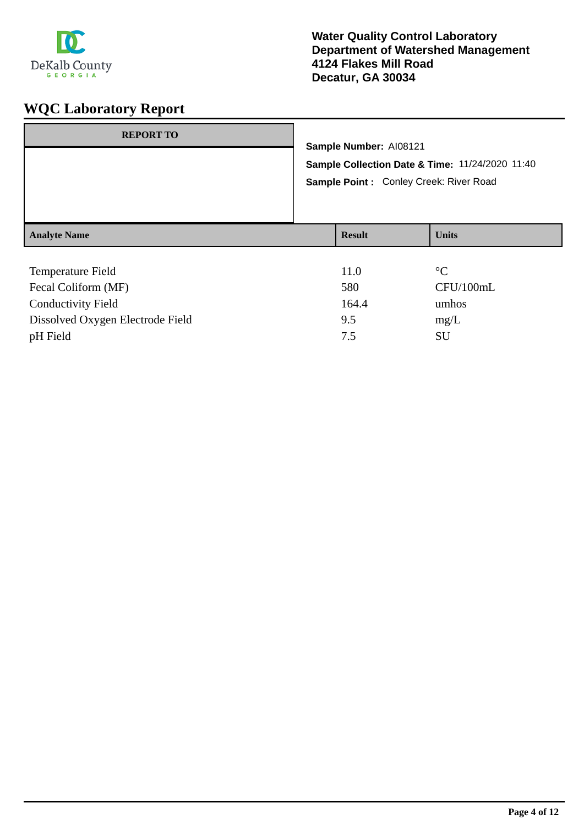

| <b>REPORT TO</b>          |                                                 |                                        |                 |  |  |
|---------------------------|-------------------------------------------------|----------------------------------------|-----------------|--|--|
|                           |                                                 | Sample Number: AI08121                 |                 |  |  |
|                           | Sample Collection Date & Time: 11/24/2020 11:40 |                                        |                 |  |  |
|                           |                                                 | Sample Point: Conley Creek: River Road |                 |  |  |
|                           |                                                 |                                        |                 |  |  |
|                           |                                                 |                                        |                 |  |  |
| <b>Analyte Name</b>       |                                                 | <b>Result</b>                          | <b>Units</b>    |  |  |
|                           |                                                 |                                        |                 |  |  |
| Temperature Field         |                                                 | 11.0                                   | $\rm ^{\circ}C$ |  |  |
| Fecal Coliform (MF)       |                                                 | 580                                    | CFU/100mL       |  |  |
| <b>Conductivity Field</b> |                                                 | 164.4                                  | umhos           |  |  |

Dissolved Oxygen Electrode Field 9.5 mg/L pH Field SU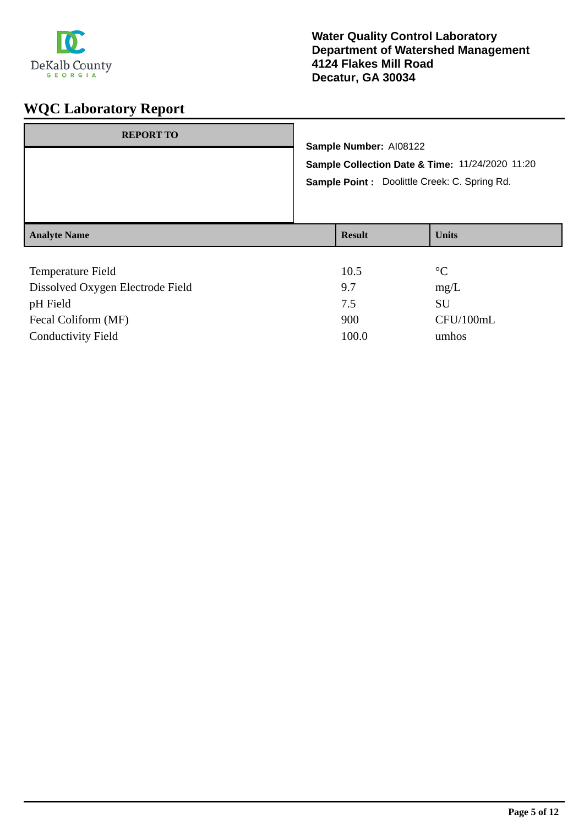

| <b>REPORT TO</b>    | Sample Number: AI08122<br>Sample Collection Date & Time: 11/24/2020 11:20<br>Sample Point : Doolittle Creek: C. Spring Rd. |              |
|---------------------|----------------------------------------------------------------------------------------------------------------------------|--------------|
| <b>Analyte Name</b> | <b>Result</b>                                                                                                              | <b>Units</b> |
| Tomporatura Fiold   | $1 \cap 5$                                                                                                                 | $\circ$      |

| <b>Temperature Field</b>         | 10.5  | $\rm ^{\circ}C$ |
|----------------------------------|-------|-----------------|
| Dissolved Oxygen Electrode Field | 9.7   | mg/L            |
| pH Field                         | 7.5   | SU              |
| Fecal Coliform (MF)              | 900   | CFU/100mL       |
| <b>Conductivity Field</b>        | 100.0 | umhos           |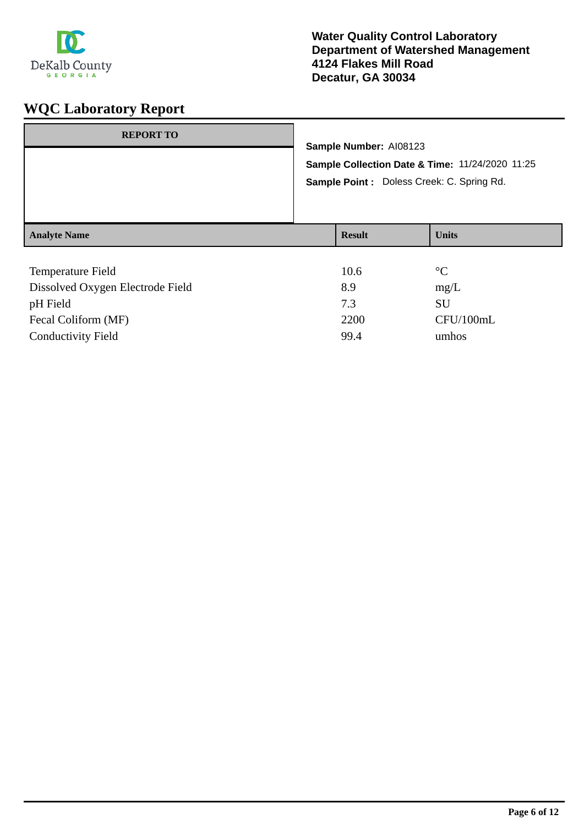

| <b>REPORT TO</b>                                                      | Sample Number: AI08123<br>Sample Collection Date & Time: 11/24/2020 11:25<br>Sample Point : Doless Creek: C. Spring Rd. |               |              |
|-----------------------------------------------------------------------|-------------------------------------------------------------------------------------------------------------------------|---------------|--------------|
| <b>Analyte Name</b>                                                   |                                                                                                                         | <b>Result</b> | <b>Units</b> |
| $\mathbf{r}$ , and $\mathbf{r}$ , and $\mathbf{r}$ , and $\mathbf{r}$ |                                                                                                                         | $\sim$ $\sim$ | $\sim$       |

| 10.6 | $\rm ^{\circ}C$ |
|------|-----------------|
| 8.9  | mg/L            |
| 7.3  | SU              |
| 2200 | CFU/100mL       |
| 99.4 | umhos           |
|      |                 |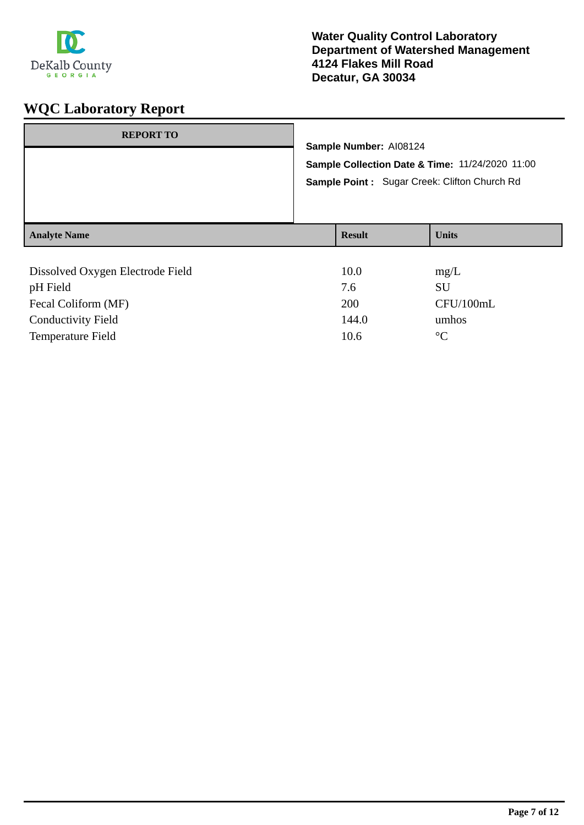

| <b>REPORT TO</b>                 | Sample Number: AI08124<br>Sample Collection Date & Time: 11/24/2020 11:00<br><b>Sample Point:</b> Sugar Creek: Clifton Church Rd |               |              |
|----------------------------------|----------------------------------------------------------------------------------------------------------------------------------|---------------|--------------|
| <b>Analyte Name</b>              |                                                                                                                                  | <b>Result</b> | <b>Units</b> |
|                                  |                                                                                                                                  |               |              |
| Dissolved Oxygen Electrode Field |                                                                                                                                  | 10.0          | mg/L         |
| pH Field                         |                                                                                                                                  | 7.6           | SU           |
| Fecal Coliform (MF)              |                                                                                                                                  | 200           | CFU/100mL    |

Conductivity Field 144.0 umhos Temperature Field 10.6 °C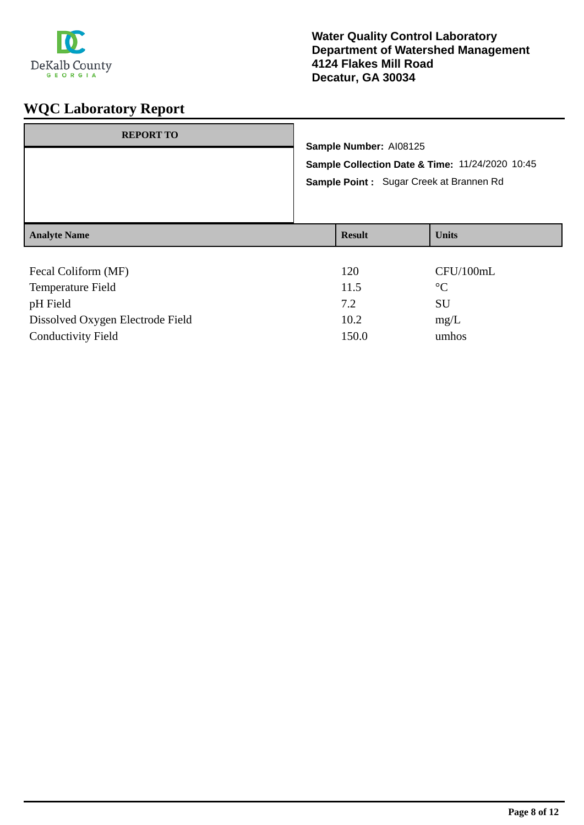

| <b>REPORT TO</b>    | Sample Number: AI08125<br>Sample Collection Date & Time: 11/24/2020 10:45<br>Sample Point : Sugar Creek at Brannen Rd |               |                 |
|---------------------|-----------------------------------------------------------------------------------------------------------------------|---------------|-----------------|
|                     |                                                                                                                       |               |                 |
| <b>Analyte Name</b> |                                                                                                                       | <b>Result</b> | <b>Units</b>    |
|                     |                                                                                                                       |               |                 |
| Fecal Coliform (MF) |                                                                                                                       | 120           | CFU/100mL       |
| Temperature Field   |                                                                                                                       | 11.5          | $\rm ^{\circ}C$ |
| pH Field            |                                                                                                                       | 7.2           | SU              |

Dissolved Oxygen Electrode Field 10.2 mg/L Conductivity Field 150.0 umhos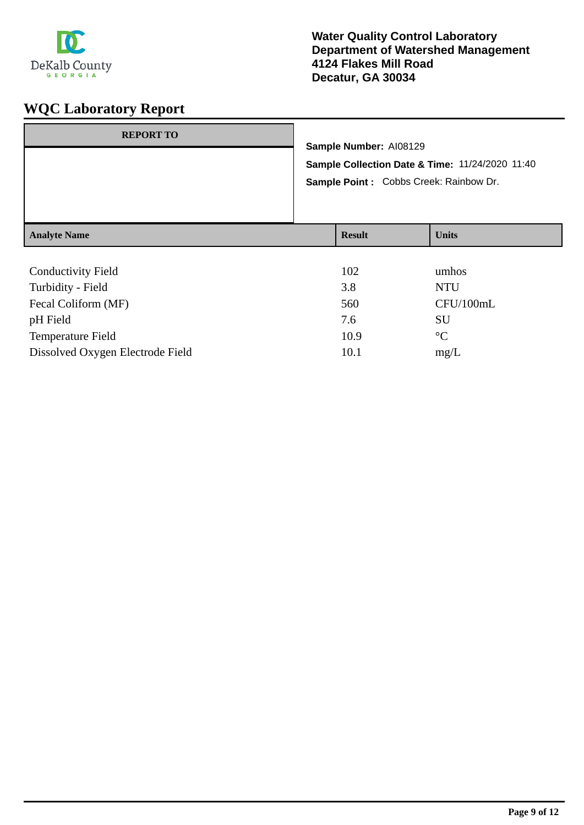

| <b>REPORT TO</b>          | Sample Number: AI08129<br>Sample Collection Date & Time: 11/24/2020 11:40<br>Sample Point : Cobbs Creek: Rainbow Dr. |               |              |
|---------------------------|----------------------------------------------------------------------------------------------------------------------|---------------|--------------|
| <b>Analyte Name</b>       |                                                                                                                      | <b>Result</b> | <b>Units</b> |
| <b>Conductivity Field</b> |                                                                                                                      | 102           | umhos        |

| Turbidity - Field                | 3.8  | NTU             |
|----------------------------------|------|-----------------|
| Fecal Coliform (MF)              | 560  | CFU/100mL       |
| pH Field                         | 7.6  | SU              |
| <b>Temperature Field</b>         | 10.9 | $\rm ^{\circ}C$ |
| Dissolved Oxygen Electrode Field | 10.1 | mg/L            |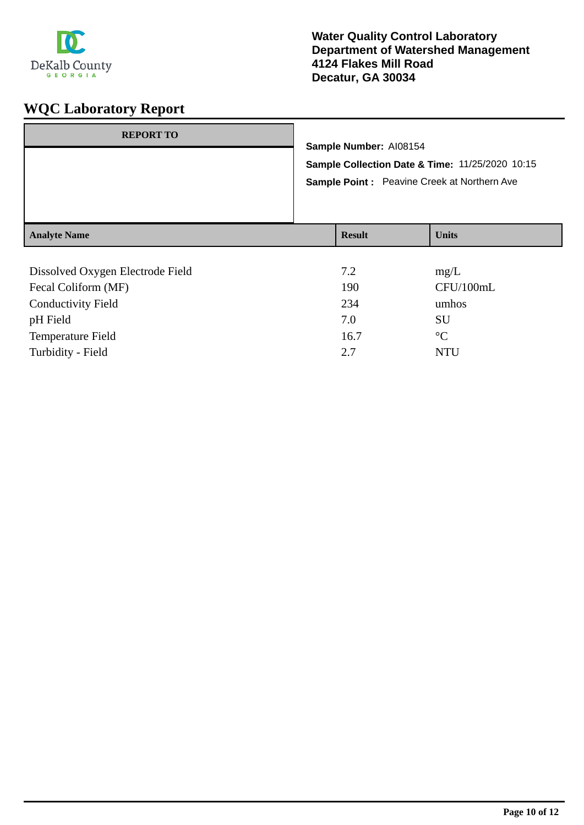

| <b>REPORT TO</b>    | Sample Number: AI08154<br>Sample Collection Date & Time: 11/25/2020 10:15<br><b>Sample Point:</b> Peavine Creek at Northern Ave |               |              |
|---------------------|---------------------------------------------------------------------------------------------------------------------------------|---------------|--------------|
| <b>Analyte Name</b> |                                                                                                                                 | <b>Result</b> | <b>Units</b> |
|                     |                                                                                                                                 |               |              |

| Dissolved Oxygen Electrode Field | 7.2  | mg/L            |
|----------------------------------|------|-----------------|
| Fecal Coliform (MF)              | 190  | CFU/100mL       |
| <b>Conductivity Field</b>        | 234  | umhos           |
| pH Field                         | 7.0  | SU              |
| <b>Temperature Field</b>         | 16.7 | $\rm ^{\circ}C$ |
| Turbidity - Field                | 2.7  | NTU             |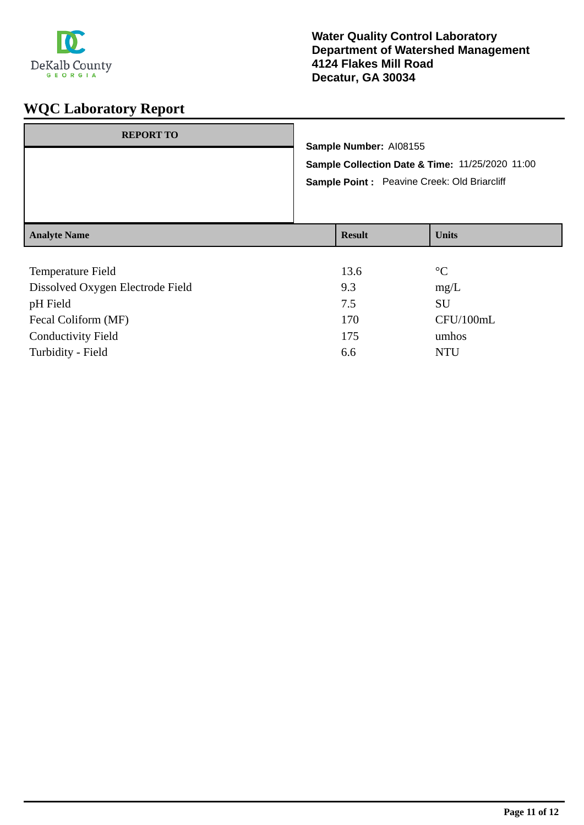

| <b>REPORT TO</b>    | Sample Number: AI08155<br>Sample Point : Peavine Creek: Old Briarcliff | Sample Collection Date & Time: 11/25/2020 11:00 |
|---------------------|------------------------------------------------------------------------|-------------------------------------------------|
| <b>Analyte Name</b> | <b>Result</b>                                                          | <b>Units</b>                                    |

| Temperature Field                | 13.6 | $\rm ^{\circ}C$ |
|----------------------------------|------|-----------------|
| Dissolved Oxygen Electrode Field | 9.3  | mg/L            |
| pH Field                         | 7.5  | SU              |
| Fecal Coliform (MF)              | 170  | CFU/100mL       |
| <b>Conductivity Field</b>        | 175  | umhos           |
| Turbidity - Field                | 6.6  | <b>NTU</b>      |